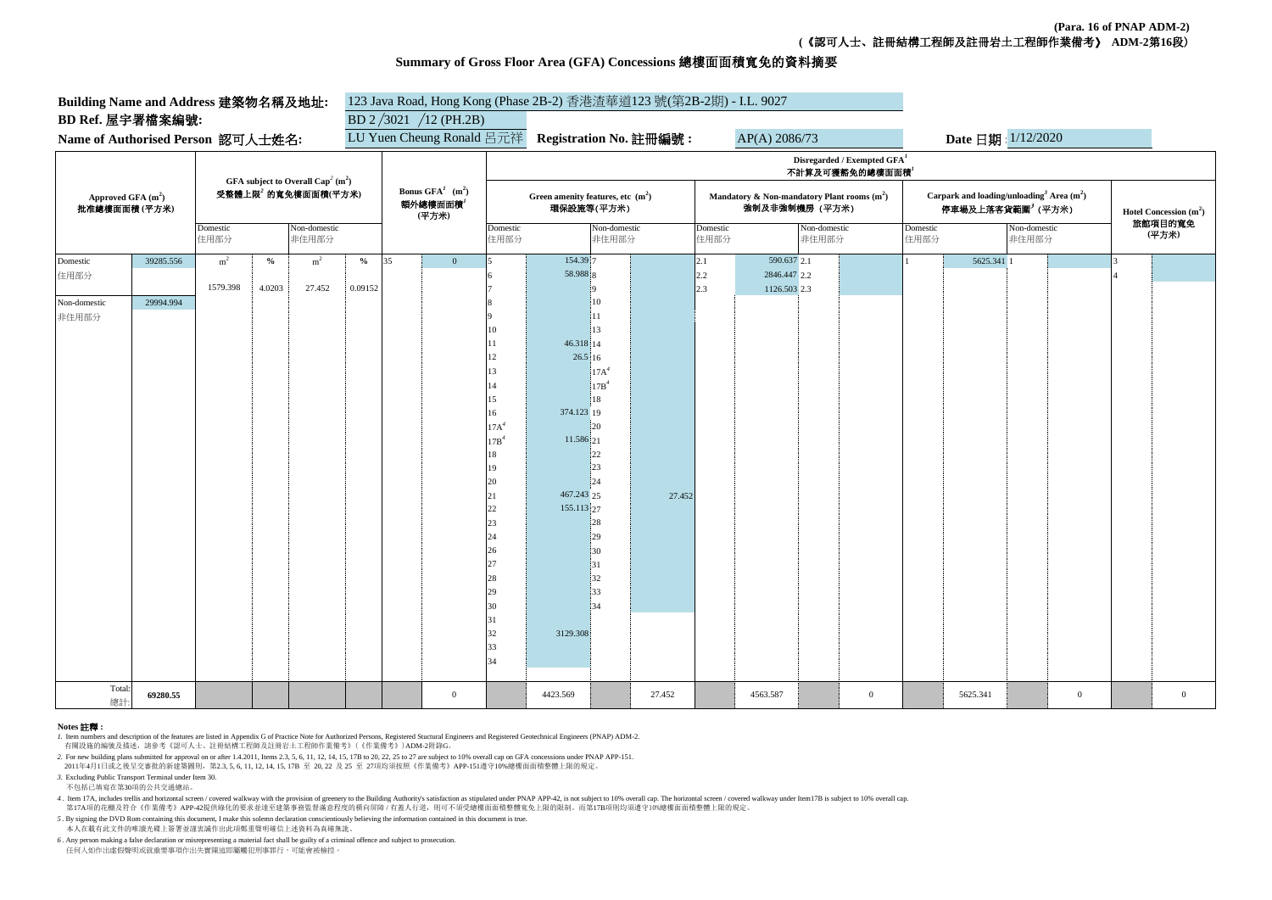**(Para. 16 of PNAP ADM-2) (**《認可人士、註冊結構工程師及註冊岩土工程師作業備考》 **ADM-2**第**16**段)

## **Summary of Gross Floor Area (GFA) Concessions** 總樓面面積寬免的資料摘要

| Building Name and Address 建築物名稱及地址:  |                                                                                              | 123 Java Road, Hong Kong (Phase 2B-2) 香港渣華道123 號(第2B-2期) - I.L. 9027 |                          |                       |                                                     |                           |                  |                                                  |                       |                                                                 |                  |     |                       |                                                                                         |                  |                    |                       |                         |                  |  |                |
|--------------------------------------|----------------------------------------------------------------------------------------------|----------------------------------------------------------------------|--------------------------|-----------------------|-----------------------------------------------------|---------------------------|------------------|--------------------------------------------------|-----------------------|-----------------------------------------------------------------|------------------|-----|-----------------------|-----------------------------------------------------------------------------------------|------------------|--------------------|-----------------------|-------------------------|------------------|--|----------------|
| BD Ref. 屋宇署檔案編號:                     |                                                                                              |                                                                      | BD $2/3021 / 12$ (PH.2B) |                       |                                                     |                           |                  |                                                  |                       |                                                                 |                  |     |                       |                                                                                         |                  |                    |                       |                         |                  |  |                |
| Name of Authorised Person 認可人士姓名:    |                                                                                              |                                                                      |                          |                       |                                                     | LU Yuen Cheung Ronald 呂元祥 |                  |                                                  |                       | Registration No. 註冊編號:<br>AP(A) 2086/73                         |                  |     |                       |                                                                                         |                  | Date 日期: 1/12/2020 |                       |                         |                  |  |                |
|                                      |                                                                                              |                                                                      |                          |                       |                                                     |                           |                  |                                                  |                       |                                                                 |                  |     |                       | Disregarded / Exempted $GFAI$                                                           |                  |                    |                       |                         |                  |  |                |
|                                      | GFA subject to Overall Cap <sup>2</sup> (m <sup>2</sup> )<br>受整體上限 <sup>2</sup> 的寬免樓面面積(平方米) |                                                                      |                          |                       | Bonus $GFA^I$ (m <sup>2</sup> )<br>額外總樓面面積<br>(平方米) |                           | 不計算及可獲豁免的總樓面面積   |                                                  |                       |                                                                 |                  |     |                       |                                                                                         |                  |                    |                       |                         |                  |  |                |
| Approved GFA $(m2)$<br>批准總樓面面積 (平方米) |                                                                                              |                                                                      |                          |                       |                                                     |                           |                  | Green amenity features, etc $(m2)$<br>環保設施等(平方米) |                       | Mandatory & Non-mandatory Plant rooms $(m^2)$<br>強制及非強制機房 (平方米) |                  |     |                       | Carpark and loading/unloading <sup>3</sup> Area $(m2)$<br>停車場及上落客貨範圍 <sup>3</sup> (平方米) |                  |                    |                       | Hotel Concession $(m2)$ |                  |  |                |
|                                      |                                                                                              | Domestic<br>住用部分                                                     |                          | Non-domestic<br>非住用部分 |                                                     |                           | Domestic<br>住用部分 |                                                  | Non-domestic<br>非住用部分 |                                                                 | Domestic<br>住用部分 |     | Non-domestic<br>非住用部分 |                                                                                         | Domestic<br>住用部分 |                    | Non-domestic<br>非住用部分 |                         | 旅館項目的寬免<br>(平方米) |  |                |
| Domestic                             | 39285.556                                                                                    | m <sup>2</sup>                                                       | $\%$                     | m <sup>2</sup>        | $\mathbf{O}_\mathbf{O}$                             | 35                        | $\Omega$         |                                                  | 154.39 7              |                                                                 |                  | 2.1 | 590.637 2.1           |                                                                                         |                  |                    | 5625.341 1            |                         |                  |  |                |
| 住用部分                                 |                                                                                              |                                                                      |                          |                       |                                                     |                           |                  |                                                  | 58.988 8              |                                                                 |                  | 2.2 | 2846.447 2.2          |                                                                                         |                  |                    |                       |                         |                  |  |                |
|                                      | 29994.994                                                                                    | 1579.398                                                             | 4.0203                   | 27.452                | 0.09152                                             |                           |                  |                                                  |                       |                                                                 |                  | 2.3 | 1126.503 2.3          |                                                                                         |                  |                    |                       |                         |                  |  |                |
| Non-domestic<br>非住用部分                |                                                                                              |                                                                      |                          |                       |                                                     |                           |                  |                                                  |                       | 10<br>11                                                        |                  |     |                       |                                                                                         |                  |                    |                       |                         |                  |  |                |
|                                      |                                                                                              |                                                                      |                          |                       |                                                     |                           |                  |                                                  |                       | 13                                                              |                  |     |                       |                                                                                         |                  |                    |                       |                         |                  |  |                |
|                                      |                                                                                              |                                                                      |                          |                       |                                                     |                           |                  |                                                  | 46.318 14             |                                                                 |                  |     |                       |                                                                                         |                  |                    |                       |                         |                  |  |                |
|                                      |                                                                                              |                                                                      |                          |                       |                                                     |                           |                  | 12                                               | 26.5 16               |                                                                 |                  |     |                       |                                                                                         |                  |                    |                       |                         |                  |  |                |
|                                      |                                                                                              |                                                                      |                          |                       |                                                     |                           |                  | 13                                               |                       | $17A^4$                                                         |                  |     |                       |                                                                                         |                  |                    |                       |                         |                  |  |                |
|                                      |                                                                                              |                                                                      |                          |                       |                                                     |                           |                  | 14                                               |                       | 17B <sup>4</sup>                                                |                  |     |                       |                                                                                         |                  |                    |                       |                         |                  |  |                |
|                                      |                                                                                              |                                                                      |                          |                       |                                                     |                           |                  | 15<br>16                                         | 374.123 19            | 18                                                              |                  |     |                       |                                                                                         |                  |                    |                       |                         |                  |  |                |
|                                      |                                                                                              |                                                                      |                          |                       |                                                     |                           |                  | 17A <sup>4</sup>                                 |                       | 20                                                              |                  |     |                       |                                                                                         |                  |                    |                       |                         |                  |  |                |
|                                      |                                                                                              |                                                                      |                          |                       |                                                     |                           |                  | 17B <sup>4</sup>                                 | 11.586 21             |                                                                 |                  |     |                       |                                                                                         |                  |                    |                       |                         |                  |  |                |
|                                      |                                                                                              |                                                                      |                          |                       |                                                     |                           |                  | 18                                               |                       | 22                                                              |                  |     |                       |                                                                                         |                  |                    |                       |                         |                  |  |                |
|                                      |                                                                                              |                                                                      |                          |                       |                                                     |                           |                  | 19                                               |                       | 23                                                              |                  |     |                       |                                                                                         |                  |                    |                       |                         |                  |  |                |
|                                      |                                                                                              |                                                                      |                          |                       |                                                     |                           |                  | 20                                               | 467.243 25            | 24                                                              |                  |     |                       |                                                                                         |                  |                    |                       |                         |                  |  |                |
|                                      |                                                                                              |                                                                      |                          |                       |                                                     |                           |                  | 21<br>22                                         | 155.113 27            |                                                                 | 27.452           |     |                       |                                                                                         |                  |                    |                       |                         |                  |  |                |
|                                      |                                                                                              |                                                                      |                          |                       |                                                     |                           |                  | 23                                               |                       | 28                                                              |                  |     |                       |                                                                                         |                  |                    |                       |                         |                  |  |                |
|                                      |                                                                                              |                                                                      |                          |                       |                                                     |                           |                  | 24                                               |                       | 29                                                              |                  |     |                       |                                                                                         |                  |                    |                       |                         |                  |  |                |
|                                      |                                                                                              |                                                                      |                          |                       |                                                     |                           |                  | 26                                               |                       | 30                                                              |                  |     |                       |                                                                                         |                  |                    |                       |                         |                  |  |                |
|                                      |                                                                                              |                                                                      |                          |                       |                                                     |                           |                  | 27                                               |                       | 31                                                              |                  |     |                       |                                                                                         |                  |                    |                       |                         |                  |  |                |
|                                      |                                                                                              |                                                                      |                          |                       |                                                     |                           |                  | 28                                               |                       | 32                                                              |                  |     |                       |                                                                                         |                  |                    |                       |                         |                  |  |                |
|                                      |                                                                                              |                                                                      |                          |                       |                                                     |                           |                  | 29<br>30                                         |                       | 33<br>34                                                        |                  |     |                       |                                                                                         |                  |                    |                       |                         |                  |  |                |
|                                      |                                                                                              |                                                                      |                          |                       |                                                     |                           |                  | 31                                               |                       |                                                                 |                  |     |                       |                                                                                         |                  |                    |                       |                         |                  |  |                |
|                                      |                                                                                              |                                                                      |                          |                       |                                                     |                           |                  | 32                                               | 3129.308              |                                                                 |                  |     |                       |                                                                                         |                  |                    |                       |                         |                  |  |                |
|                                      |                                                                                              |                                                                      |                          |                       |                                                     |                           |                  | 33                                               |                       |                                                                 |                  |     |                       |                                                                                         |                  |                    |                       |                         |                  |  |                |
|                                      |                                                                                              |                                                                      |                          |                       |                                                     |                           |                  | 34                                               |                       |                                                                 |                  |     |                       |                                                                                         |                  |                    |                       |                         |                  |  |                |
| Total<br>總計                          | 69280.55                                                                                     |                                                                      |                          |                       |                                                     |                           | $\overline{0}$   |                                                  | 4423.569              |                                                                 | 27.452           |     | 4563.587              |                                                                                         | $\mathbf{0}$     |                    | 5625.341              |                         | $\overline{0}$   |  | $\overline{0}$ |

## **Notes** 註釋 **:**

*1.* Item numbers and description of the features are listed in Appendix G of Practice Note for Authorized Persons, Registered Stuctural Engineers and Registered Geotechnical Engineers (PNAP) ADM-2.

有關設施的編號及描述,請參考《認可人士、註冊結構工程師及註冊岩土工程師作業備考》(《作業備考》)ADM-2附錄G。

*2.* For new building plans submitted for approval on or after 1.4.2011, Items 2.3, 5, 6, 11, 12, 14, 15, 17B to 20, 22, 25 to 27 are subject to 10% overall cap on GFA concessions under PNAP APP-151.

2011年4月1日或之後呈交審批的新建築圖則,第2.3, 5, 6, 11, 12, 14, 15, 17B 至 20, 22 及 25 至 27項均須按照《作業備考》APP-151遵守10%總樓面面積整體上限的規定。

*3.* Excluding Public Transport Terminal under Item 30.

不包括已填寫在第30項的公共交通總站。

4. Item 17A, includes trellis and horizontal screen / covered walkway with the provision of greenery to the Building Authority's satisfaction as stipulated under PNAP APP-42, is not subject to 10% overall cap. The horizont 第17A項的花棚及符合《作業備考》APP-42提供綠化的要求並達至建築事務監督滿意程度的橫向屏障 / 有蓋人行道,則可不須受總樓面面積整體寬免上限的限制。而第17B項則均須遵守10%總樓面面積整體上限的規定。

*5* . By signing the DVD Rom containing this document, I make this solemn declaration conscientiously believing the information contained in this document is true. 本人在載有此文件的唯讀光碟上簽署並謹衷誠作出此項鄭重聲明確信上述資料為真確無訛。

*6* . Any person making a false declaration or misrepresenting a material fact shall be guilty of a criminal offence and subject to prosecution. 任何人如作出虛假聲明或就重要事項作出失實陳述即屬觸犯刑事罪行,可能會被檢控。